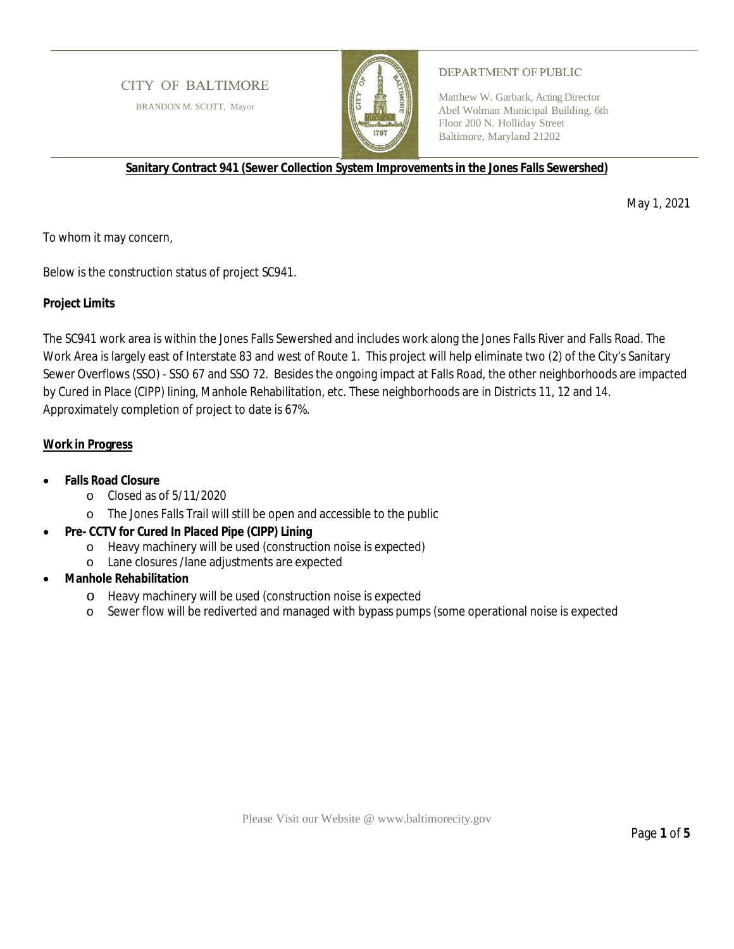# **CITY OF BALTIMORE**

BRANDON M. SCOTT, Mayor



### DEPARTMENT OF PUBLIC

Matthew W. Garbark, Acting Director Abel Wolman Municipal Building, 6th Floor 200 N. Holliday Street Baltimore, Maryland 21202

**Sanitary Contract 941 (Sewer Collection System Improvements in the Jones Falls Sewershed)**

May 1, 2021

To whom it may concern,

Below is the construction status of project SC941.

# **Project Limits**

The SC941 work area is within the Jones Falls Sewershed and includes work along the Jones Falls River and Falls Road. The Work Area is largely east of Interstate 83 and west of Route 1. This project will help eliminate two (2) of the City's Sanitary Sewer Overflows (SSO) - SSO 67 and SSO 72. Besides the ongoing impact at Falls Road, the other neighborhoods are impacted by Cured in Place (CIPP) lining, Manhole Rehabilitation, etc. These neighborhoods are in Districts 11, 12 and 14. Approximately completion of project to date is 67%.

# **Work in Progress**

- · **Falls Road Closure**
	- o Closed as of 5/11/2020
	- o The Jones Falls Trail will still be open and accessible to the public
- Pre- CCTV for Cured In Placed Pipe (CIPP) Lining
	- o Heavy machinery will be used (construction noise is expected)
	- o Lane closures /lane adjustments are expected
- · **Manhole Rehabilitation**
	- o Heavy machinery will be used (construction noise is expected
	- o Sewer flow will be rediverted and managed with bypass pumps (some operational noise is expected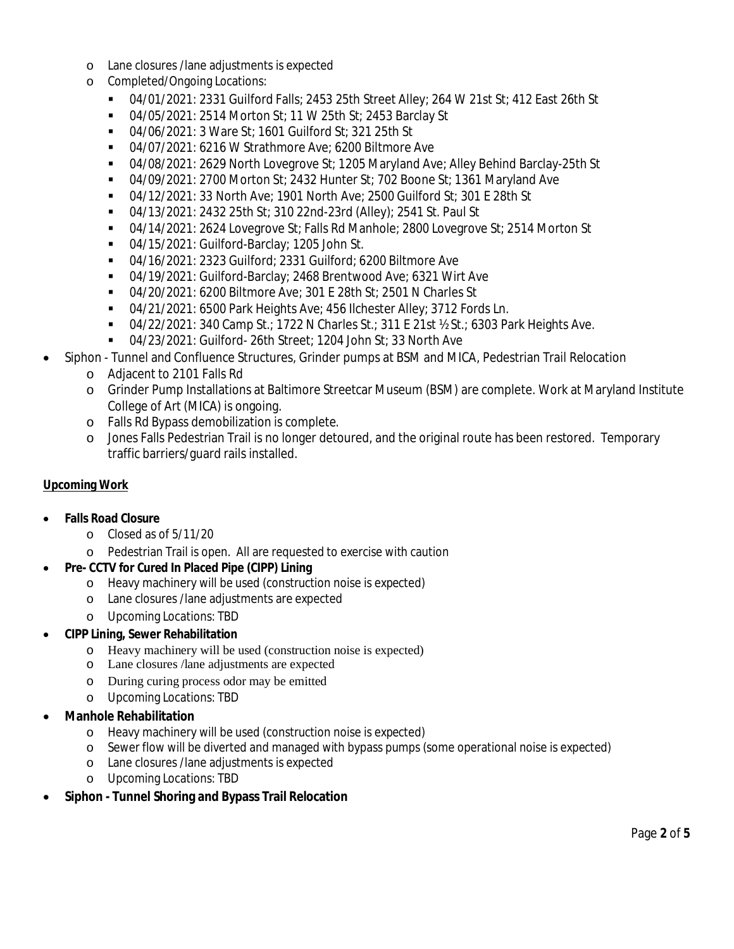- o Lane closures /lane adjustments is expected
- o Completed/Ongoing Locations:
	- § 04/01/2021: 2331 Guilford Falls; 2453 25th Street Alley; 264 W 21st St; 412 East 26th St
	- § 04/05/2021: 2514 Morton St; 11 W 25th St; 2453 Barclay St
	- § 04/06/2021: 3 Ware St; 1601 Guilford St; 321 25th St
	- 04/07/2021: 6216 W Strathmore Ave; 6200 Biltmore Ave
	- § 04/08/2021: 2629 North Lovegrove St; 1205 Maryland Ave; Alley Behind Barclay-25th St
	- § 04/09/2021: 2700 Morton St; 2432 Hunter St; 702 Boone St; 1361 Maryland Ave
	- § 04/12/2021: 33 North Ave; 1901 North Ave; 2500 Guilford St; 301 E 28th St
	- § 04/13/2021: 2432 25th St; 310 22nd-23rd (Alley); 2541 St. Paul St
	- § 04/14/2021: 2624 Lovegrove St; Falls Rd Manhole; 2800 Lovegrove St; 2514 Morton St
	- § 04/15/2021: Guilford-Barclay; 1205 John St.
	- § 04/16/2021: 2323 Guilford; 2331 Guilford; 6200 Biltmore Ave
	- § 04/19/2021: Guilford-Barclay; 2468 Brentwood Ave; 6321 Wirt Ave
	- § 04/20/2021: 6200 Biltmore Ave; 301 E 28th St; 2501 N Charles St
	- § 04/21/2021: 6500 Park Heights Ave; 456 Ilchester Alley; 3712 Fords Ln.
	- **04/22/2021: 340 Camp St.; 1722 N Charles St.; 311 E 21st**  $\frac{1}{2}$  **St.; 6303 Park Heights Ave.**
	- § 04/23/2021: Guilford- 26th Street; 1204 John St; 33 North Ave
- Siphon Tunnel and Confluence Structures, Grinder pumps at BSM and MICA, Pedestrian Trail Relocation
	- o Adjacent to 2101 Falls Rd
	- o Grinder Pump Installations at Baltimore Streetcar Museum (BSM) are complete. Work at Maryland Institute College of Art (MICA) is ongoing.
	- o Falls Rd Bypass demobilization is complete.
	- o Jones Falls Pedestrian Trail is no longer detoured, and the original route has been restored. Temporary traffic barriers/guard rails installed.

### **Upcoming Work**

- · **Falls Road Closure**
	- o Closed as of 5/11/20
	- o Pedestrian Trail is open. All are requested to exercise with caution
	- · **Pre- CCTV for Cured In Placed Pipe (CIPP) Lining**
		- o Heavy machinery will be used (construction noise is expected)
		- o Lane closures /lane adjustments are expected
		- o Upcoming Locations: TBD
- · **CIPP Lining, Sewer Rehabilitation**
	- o Heavy machinery will be used (construction noise is expected)
	- o Lane closures /lane adjustments are expected
	- o During curing process odor may be emitted
	- o Upcoming Locations: TBD
- · **Manhole Rehabilitation**
	- o Heavy machinery will be used (construction noise is expected)
	- o Sewer flow will be diverted and managed with bypass pumps (some operational noise is expected)
	- o Lane closures /lane adjustments is expected
	- o Upcoming Locations: TBD
- · **Siphon Tunnel Shoring and Bypass Trail Relocation**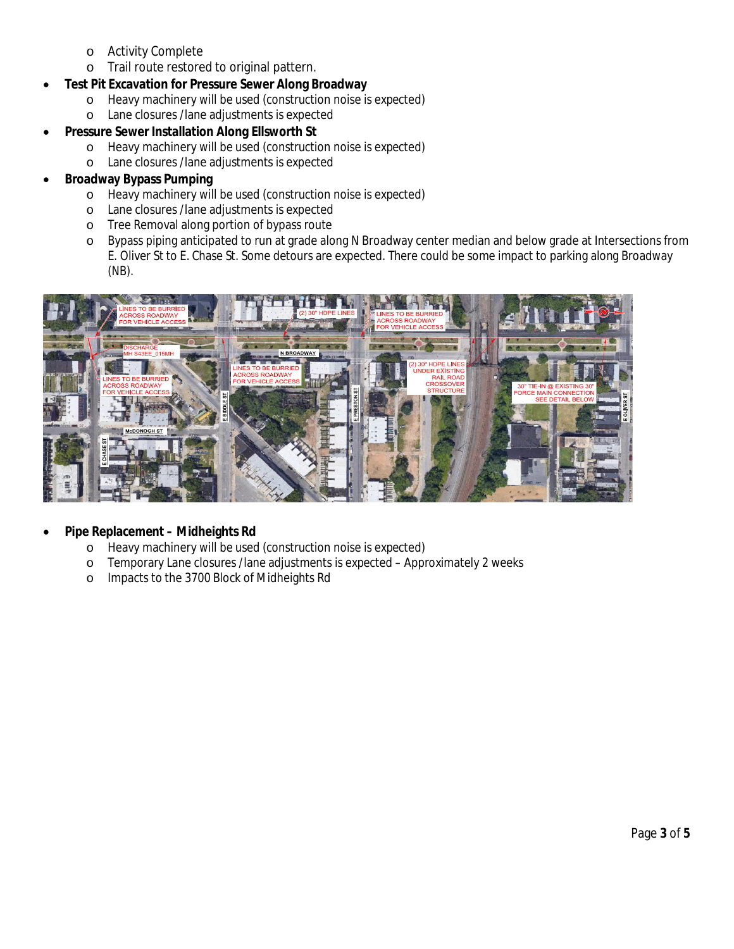- o Activity Complete
- o Trail route restored to original pattern.
- · **Test Pit Excavation for Pressure Sewer Along Broadway**
	- o Heavy machinery will be used (construction noise is expected)
	- o Lane closures /lane adjustments is expected
	- · **Pressure Sewer Installation Along Ellsworth St**
		- o Heavy machinery will be used (construction noise is expected)
		- o Lane closures /lane adjustments is expected
- · **Broadway Bypass Pumping**
	- o Heavy machinery will be used (construction noise is expected)
	- o Lane closures /lane adjustments is expected
	- o Tree Removal along portion of bypass route
	- o Bypass piping anticipated to run at grade along N Broadway center median and below grade at Intersections from E. Oliver St to E. Chase St. Some detours are expected. There could be some impact to parking along Broadway (NB).



- · **Pipe Replacement Midheights Rd**
	- o Heavy machinery will be used (construction noise is expected)
	- o Temporary Lane closures /lane adjustments is expected Approximately 2 weeks
	- o Impacts to the 3700 Block of Midheights Rd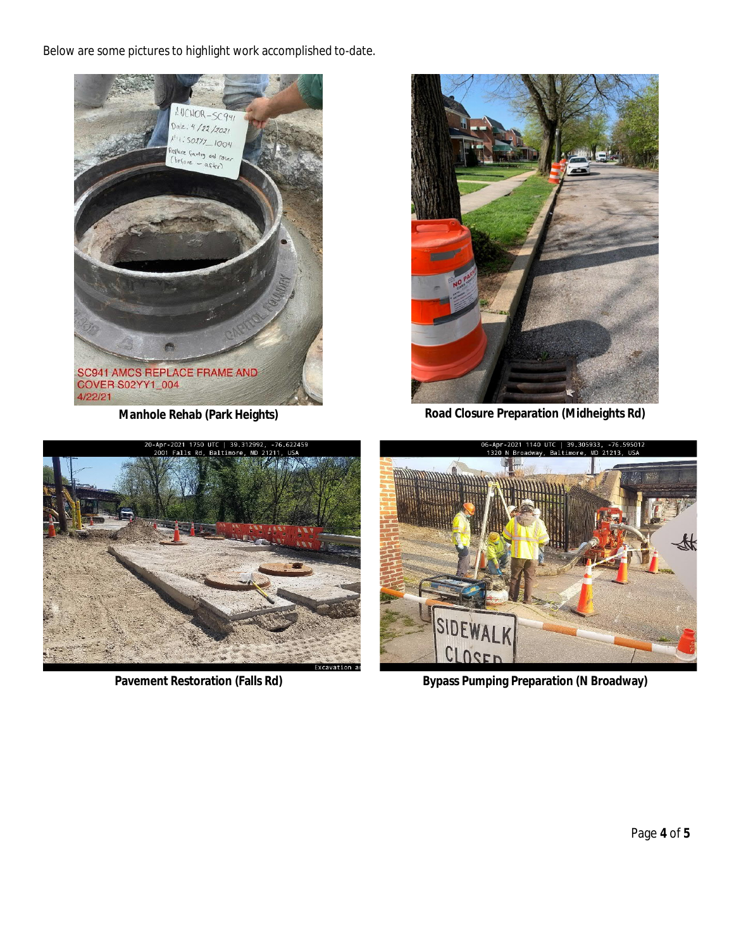Below are some pictures to highlight work accomplished to-date.





**Manhole Rehab (Park Heights) Road Closure Preparation (Midheights Rd)** 





Pavement Restoration (Falls Rd) **Bypass Pumping Preparation (N Broadway)**